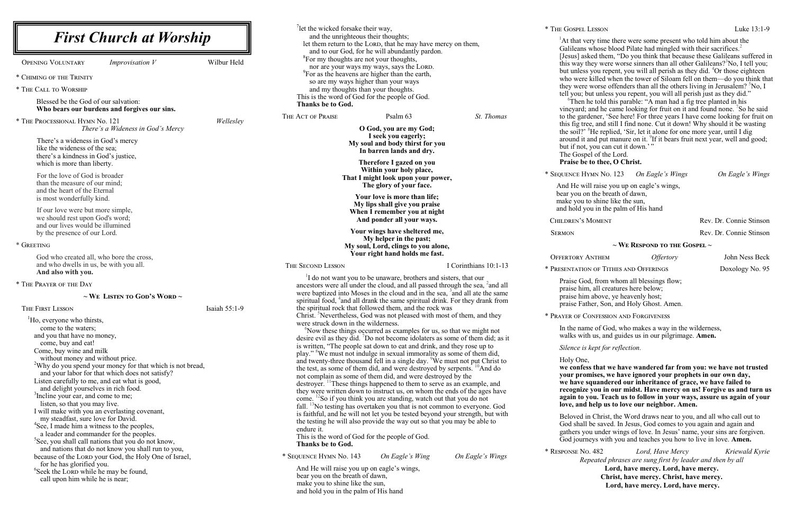| <b>First Church at Worship</b>                                                                                                                                                                                                                                                                                                                                                                                                                                                                                                                                                                                                                                                                                                                                                                                                                                                                                                                                                                                                                                                |               | <sup>7</sup> let the wicked forsake their way,<br>and the unrighteous their thoughts;<br>let them return to the LORD, that he may have mercy on them,<br>and to our God, for he will abundantly pardon.<br><sup>8</sup> For my thoughts are not your thoughts,<br>nor are your ways my ways, says the LORD.<br><sup>9</sup> For as the heavens are higher than the earth,<br>so are my ways higher than your ways<br>and my thoughts than your thoughts.<br>This is the word of God for the people of God.<br>Thanks be to God. |                                                                                                                                                                                                                                                                                                                                                                                                                                                                                                                                                                                                                                                                                                                                                                                                                                                                                                                                                                                                                                                                                                                                                                                                                                                                                                                                                                                                                                                                                                                                                                                                                                                                                                | * THE GOSPEL<br>$^{1}$ At that v<br>Galileans<br>[Jesus] as<br>this way<br>but unles<br>who were<br>they were<br>tell you;<br>${}^{6}$ Then |                                                                                                                                                                                                                                                                                  |
|-------------------------------------------------------------------------------------------------------------------------------------------------------------------------------------------------------------------------------------------------------------------------------------------------------------------------------------------------------------------------------------------------------------------------------------------------------------------------------------------------------------------------------------------------------------------------------------------------------------------------------------------------------------------------------------------------------------------------------------------------------------------------------------------------------------------------------------------------------------------------------------------------------------------------------------------------------------------------------------------------------------------------------------------------------------------------------|---------------|---------------------------------------------------------------------------------------------------------------------------------------------------------------------------------------------------------------------------------------------------------------------------------------------------------------------------------------------------------------------------------------------------------------------------------------------------------------------------------------------------------------------------------|------------------------------------------------------------------------------------------------------------------------------------------------------------------------------------------------------------------------------------------------------------------------------------------------------------------------------------------------------------------------------------------------------------------------------------------------------------------------------------------------------------------------------------------------------------------------------------------------------------------------------------------------------------------------------------------------------------------------------------------------------------------------------------------------------------------------------------------------------------------------------------------------------------------------------------------------------------------------------------------------------------------------------------------------------------------------------------------------------------------------------------------------------------------------------------------------------------------------------------------------------------------------------------------------------------------------------------------------------------------------------------------------------------------------------------------------------------------------------------------------------------------------------------------------------------------------------------------------------------------------------------------------------------------------------------------------|---------------------------------------------------------------------------------------------------------------------------------------------|----------------------------------------------------------------------------------------------------------------------------------------------------------------------------------------------------------------------------------------------------------------------------------|
| <b>OPENING VOLUNTARY</b><br><i>Improvisation V</i><br>* CHIMING OF THE TRINITY<br>* THE CALL TO WORSHIP<br>Blessed be the God of our salvation:                                                                                                                                                                                                                                                                                                                                                                                                                                                                                                                                                                                                                                                                                                                                                                                                                                                                                                                               | Wilbur Held   |                                                                                                                                                                                                                                                                                                                                                                                                                                                                                                                                 |                                                                                                                                                                                                                                                                                                                                                                                                                                                                                                                                                                                                                                                                                                                                                                                                                                                                                                                                                                                                                                                                                                                                                                                                                                                                                                                                                                                                                                                                                                                                                                                                                                                                                                |                                                                                                                                             |                                                                                                                                                                                                                                                                                  |
| Who bears our burdens and forgives our sins.<br>* THE PROCESSIONAL HYMN No. 121<br>There's a Wideness in God's Mercy<br>There's a wideness in God's mercy<br>like the wideness of the sea;<br>there's a kindness in God's justice,<br>which is more than liberty.<br>For the love of God is broader<br>than the measure of our mind;<br>and the heart of the Eternal<br>is most wonderfully kind.<br>If our love were but more simple,<br>we should rest upon God's word;<br>and our lives would be illumined<br>by the presence of our Lord.<br>* GREETING<br>God who created all, who bore the cross,<br>and who dwells in us, be with you all.<br>And also with you.                                                                                                                                                                                                                                                                                                                                                                                                       | Wellesley     | THE ACT OF PRAISE<br>THE SECOND LESSON                                                                                                                                                                                                                                                                                                                                                                                                                                                                                          | Psalm 63<br>O God, you are my God;<br>I seek you eagerly;<br>My soul and body thirst for you<br>In barren lands and dry.<br>Therefore I gazed on you<br>Within your holy place,<br>That I might look upon your power,<br>The glory of your face.<br>Your love is more than life;<br>My lips shall give you praise<br>When I remember you at night<br>And ponder all your ways.<br>Your wings have sheltered me,<br>My helper in the past;<br>My soul, Lord, clings to you alone,<br>Your right hand holds me fast.                                                                                                                                                                                                                                                                                                                                                                                                                                                                                                                                                                                                                                                                                                                                                                                                                                                                                                                                                                                                                                                                                                                                                                             | St. Thomas<br>I Corinthians 10:1-13                                                                                                         | vineyard;<br>to the gar<br>this fig tr<br>the soil?'<br>around it<br>but if not<br>The Gosp<br>Praise be<br>* SEQUENCE H<br>And He w<br>bear you c<br>make you<br>and hold y<br>CHILDREN'S<br><b>SERMON</b><br><b>OFFERTORY</b><br>* PRESENTATIO                                 |
| * THE PRAYER OF THE DAY<br>$\sim$ We Listen to God's Word $\sim$<br><b>THE FIRST LESSON</b><br><sup>1</sup> Ho, everyone who thirsts,<br>come to the waters;<br>and you that have no money,<br>come, buy and eat!<br>Come, buy wine and milk<br>without money and without price.<br><sup>2</sup> Why do you spend your money for that which is not bread,<br>and your labor for that which does not satisfy?<br>Listen carefully to me, and eat what is good,<br>and delight yourselves in rich food.<br><sup>3</sup> Incline your ear, and come to me;<br>listen, so that you may live.<br>I will make with you an everlasting covenant,<br>my steadfast, sure love for David.<br><sup>4</sup> See, I made him a witness to the peoples,<br>a leader and commander for the peoples.<br>See, you shall call nations that you do not know,<br>and nations that do not know you shall run to you,<br>because of the LORD your God, the Holy One of Israel,<br>for he has glorified you.<br><sup>6</sup> Seek the LORD while he may be found,<br>call upon him while he is near; | Isaiah 55:1-9 | were struck down in the wilderness.<br>endure it.<br><b>Thanks be to God.</b><br>* SEQUENCE HYMN No. 143<br>bear you on the breath of dawn,<br>make you to shine like the sun,<br>and hold you in the palm of His hand                                                                                                                                                                                                                                                                                                          | <sup>1</sup> I do not want you to be unaware, brothers and sisters, that our<br>ancestors were all under the cloud, and all passed through the sea, <sup>2</sup> and all<br>were baptized into Moses in the cloud and in the sea, <sup>3</sup> and all ate the same<br>spiritual food, <sup>4</sup> and all drank the same spiritual drink. For they drank from<br>the spiritual rock that followed them, and the rock was<br>Christ. Nevertheless, God was not pleased with most of them, and they<br>Now these things occurred as examples for us, so that we might not<br>desire evil as they did. 'Do not become idolaters as some of them did; as it<br>is written, "The people sat down to eat and drink, and they rose up to<br>play." <sup>8</sup> We must not indulge in sexual immorality as some of them did,<br>and twenty-three thousand fell in a single day. <sup>9</sup> We must not put Christ to<br>the test, as some of them did, and were destroyed by serpents. <sup>10</sup> And do<br>not complain as some of them did, and were destroyed by the<br>destroyer. <sup>11</sup> These things happened to them to serve as an example, and<br>they were written down to instruct us, on whom the ends of the ages have<br>come. <sup>12</sup> So if you think you are standing, watch out that you do not<br>fall. $^{13}$ No testing has overtaken you that is not common to everyone. God<br>is faithful, and he will not let you be tested beyond your strength, but with<br>the testing he will also provide the way out so that you may be able to<br>This is the word of God for the people of God.<br>On Eagle's Wing<br>And He will raise you up on eagle's wings, | On Eagle's Wings                                                                                                                            | Praise Go<br>praise hin<br>praise hin<br>praise Fa<br>* PRAYER OF C<br>In the nar<br>walks wi<br>Silence is<br>Holy One<br>we confe<br>your pro<br>we have<br>recogniz<br>again to<br>love, and<br><b>Beloved</b><br>God shal<br>gathers y<br>God jour.<br>* RESPONSE N<br>$R_6$ |

very time there were some present who told him about the Galileans whose blood Pilate had mingled with their sacrifices.<sup>2</sup> asked them, "Do you think that because these Galileans suffered in this way they were worse sinners than all other Galileans?<sup>3</sup>No, I tell you; but unless you repent, you will all perish as they did. <sup>4</sup>Or those eighteen re killed when the tower of Siloam fell on them—do you think that they were worse offenders than all the others living in Jerusalem? <sup>5</sup>No, I but unless you repent, you will all perish just as they did."  $h$  he told this parable: "A man had a fig tree planted in his vineyard; and he came looking for fruit on it and found none. <sup>7</sup>So he said rdener, 'See here! For three years I have come looking for fruit on ree, and still I find none. Cut it down! Why should it be wasting <sup>8</sup>He replied, 'Sir, let it alone for one more year, until I dig around it and put manure on it.  $9$ If it bears fruit next year, well and good; t, you can cut it down.'" pel of the Lord.

**Praise to thee, O Christ.** 

\* Sequence Hymn No. 123 *On Eagle's Wings On Eagle's Wings*

will raise you up on eagle's wings, on the breath of dawn, to shine like the sun, you in the palm of His hand

MOMENT Rev. Dr. Connie Stinson

Rev. Dr. Connie Stinson

### **~ We Respond to the Gospel ~**

Offertory Anthem *Offertory* John Ness Beck

ION OF TITHES AND OFFERINGS Doxology No. 95

Forceptive God, from whom all blessings flow; im, all creatures here below; im above, ye heavenly host; ather, Son, and Holy Ghost. Amen.

CONFESSION AND FORGIVENESS

ame of God, who makes a way in the wilderness, ith us, and guides us in our pilgrimage. **Amen.** 

*is kept for reflection.* 

ie,

ess that we have wandered far from you: we have not trusted **your promises, we have ignored your prophets in our own day, we have squandered our inheritance of grace, we have failed to rectaintly** you in our midst. Have mercy on us! Forgive us and turn us **again to you. Teach us to follow in your ways, assure us again of your d** help us to love our neighbor. Amen.

in Christ, the Word draws near to you, and all who call out to Il be saved. In Jesus, God comes to you again and again and you under wings of love. In Jesus' name, your sins are forgiven. rneys with you and teaches you how to live in love. **Amen.** 

\* Response No. 482 *Lord, Have Mercy Kriewald Kyrie Repeated phrases are sung first by leader and then by all*  **Lord, have mercy. Lord, have mercy. Christ, have mercy. Christ, have mercy.**

**Lord, have mercy. Lord, have mercy.**